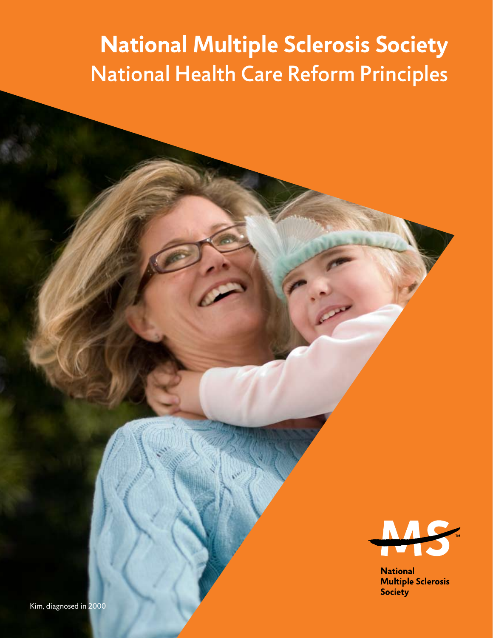# **National Multiple Sclerosis Society** National Health Care Reform Principles



**National Multiple Sclerosis Society**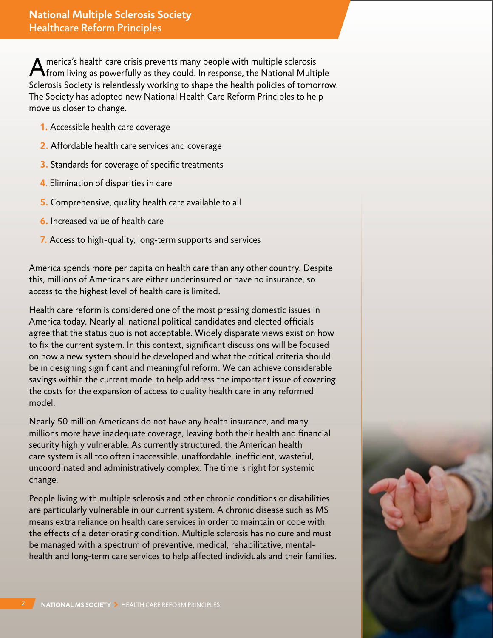A merica's health care crisis prevents many people with multiple sclerosis from living as powerfully as they could. In response, the National Multiple Sclerosis Society is relentlessly working to shape the health policies of tomorrow. The Society has adopted new National Health Care Reform Principles to help move us closer to change.

- **1.** Accessible health care coverage
- **2.** Affordable health care services and coverage
- **3.** Standards for coverage of specific treatments
- **4**. Elimination of disparities in care
- **5.** Comprehensive, quality health care available to all
- **6.** Increased value of health care
- **7.** Access to high-quality, long-term supports and services

America spends more per capita on health care than any other country. Despite this, millions of Americans are either underinsured or have no insurance, so access to the highest level of health care is limited.

Health care reform is considered one of the most pressing domestic issues in America today. Nearly all national political candidates and elected officials agree that the status quo is not acceptable. Widely disparate views exist on how to fix the current system. In this context, significant discussions will be focused on how a new system should be developed and what the critical criteria should be in designing significant and meaningful reform. We can achieve considerable savings within the current model to help address the important issue of covering the costs for the expansion of access to quality health care in any reformed model.

Nearly 50 million Americans do not have any health insurance, and many millions more have inadequate coverage, leaving both their health and financial security highly vulnerable. As currently structured, the American health care system is all too often inaccessible, unaffordable, inefficient, wasteful, uncoordinated and administratively complex. The time is right for systemic change.

People living with multiple sclerosis and other chronic conditions or disabilities are particularly vulnerable in our current system. A chronic disease such as MS means extra reliance on health care services in order to maintain or cope with the effects of a deteriorating condition. Multiple sclerosis has no cure and must be managed with a spectrum of preventive, medical, rehabilitative, mentalhealth and long-term care services to help affected individuals and their families.

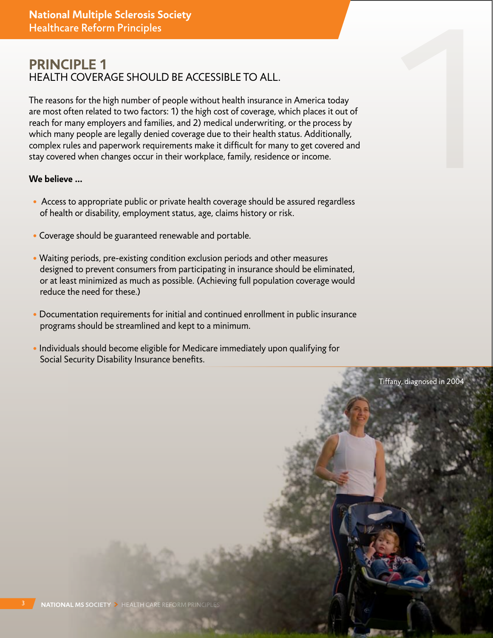# **Principle 1** Health coverage should be accessible to all.

**Healthcare Reform Principles<br>
PRINCIPLE 1**<br> **HEALTH COVERAGE SHOULD BE ACCESSIBLE TO ALL.**<br>
The reasons for the high number of people without health insurance in America today<br>
are most often related to two factors: 1) th The reasons for the high number of people without health insurance in America today are most often related to two factors: 1) the high cost of coverage, which places it out of reach for many employers and families, and 2) medical underwriting, or the process by which many people are legally denied coverage due to their health status. Additionally, complex rules and paperwork requirements make it difficult for many to get covered and stay covered when changes occur in their workplace, family, residence or income.

- Access to appropriate public or private health coverage should be assured regardless of health or disability, employment status, age, claims history or risk.
- Coverage should be guaranteed renewable and portable.
- Waiting periods, pre-existing condition exclusion periods and other measures designed to prevent consumers from participating in insurance should be eliminated, or at least minimized as much as possible. (Achieving full population coverage would reduce the need for these.)
- Documentation requirements for initial and continued enrollment in public insurance programs should be streamlined and kept to a minimum.
- Individuals should become eligible for Medicare immediately upon qualifying for Social Security Disability Insurance benefits.

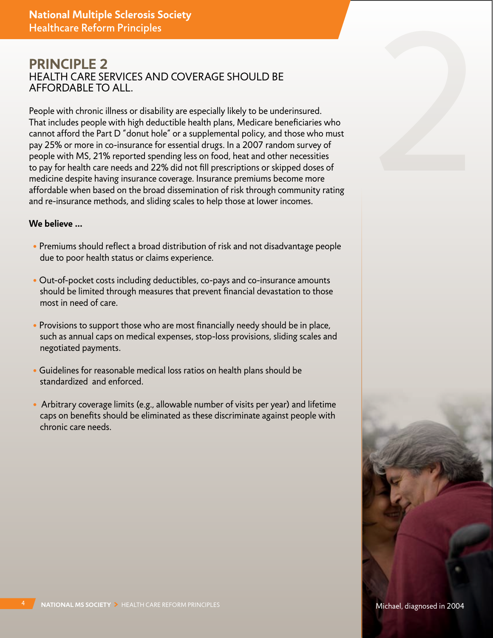# **Principle 2** Health care services and coverage should be affordable to all.

People with chronic illness or disability are especially likely to be underinsured. That includes people with high deductible health plans, Medicare beneficiaries who cannot afford the Part D "donut hole" or a supplemental policy, and those who must pay 25% or more in co-insurance for essential drugs. In a 2007 random survey of people with MS, 21% reported spending less on food, heat and other necessities to pay for health care needs and 22% did not fill prescriptions or skipped doses of medicine despite having insurance coverage. Insurance premiums become more affordable when based on the broad dissemination of risk through community rating and re-insurance methods, and sliding scales to help those at lower incomes.

- Premiums should reflect a broad distribution of risk and not disadvantage people due to poor health status or claims experience.
- Out-of-pocket costs including deductibles, co-pays and co-insurance amounts should be limited through measures that prevent financial devastation to those most in need of care.
- Provisions to support those who are most financially needy should be in place, such as annual caps on medical expenses, stop-loss provisions, sliding scales and negotiated payments.
- Guidelines for reasonable medical loss ratios on health plans should be standardized and enforced.
- Arbitrary coverage limits (e.g., allowable number of visits per year) and lifetime caps on benefits should be eliminated as these discriminate against people with chronic care needs.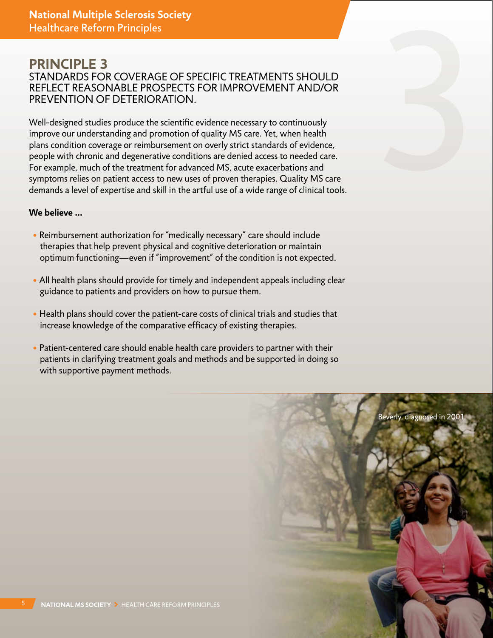## **Principle 3** Standards for coverage of specific treatments should reflect reasonable prospects for improvement and/or prevention of deterioration.

Well-designed studies produce the scientific evidence necessary to continuously improve our understanding and promotion of quality MS care. Yet, when health plans condition coverage or reimbursement on overly strict standards of evidence, people with chronic and degenerative conditions are denied access to needed care. For example, much of the treatment for advanced MS, acute exacerbations and symptoms relies on patient access to new uses of proven therapies. Quality MS care demands a level of expertise and skill in the artful use of a wide range of clinical tools.

- Reimbursement authorization for "medically necessary" care should include therapies that help prevent physical and cognitive deterioration or maintain optimum functioning—even if "improvement" of the condition is not expected.
- All health plans should provide for timely and independent appeals including clear guidance to patients and providers on how to pursue them.
- Health plans should cover the patient-care costs of clinical trials and studies that increase knowledge of the comparative efficacy of existing therapies.
- Patient-centered care should enable health care providers to partner with their patients in clarifying treatment goals and methods and be supported in doing so with supportive payment methods.

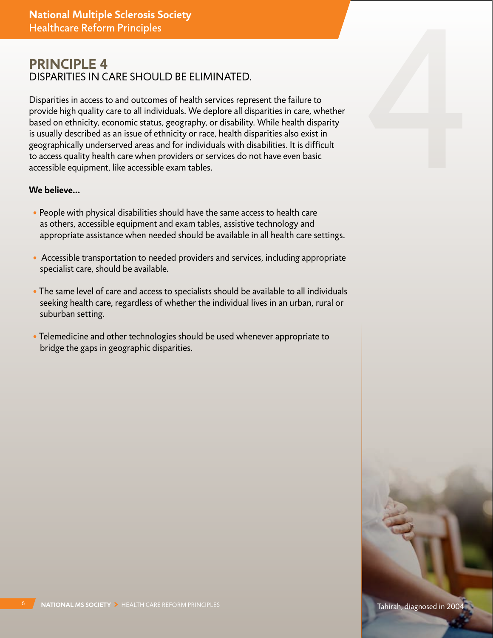# **Principle 4** Disparities in care should be eliminated.

Disparities in access to and outcomes of health services represent the failure to provide high quality care to all individuals. We deplore all disparities in care, whether based on ethnicity, economic status, geography, or disability. While health disparity is usually described as an issue of ethnicity or race, health disparities also exist in geographically underserved areas and for individuals with disabilities. It is difficult to access quality health care when providers or services do not have even basic accessible equipment, like accessible exam tables.

- People with physical disabilities should have the same access to health care as others, accessible equipment and exam tables, assistive technology and appropriate assistance when needed should be available in all health care settings.
- Accessible transportation to needed providers and services, including appropriate specialist care, should be available.
- The same level of care and access to specialists should be available to all individuals seeking health care, regardless of whether the individual lives in an urban, rural or suburban setting.
- Telemedicine and other technologies should be used whenever appropriate to bridge the gaps in geographic disparities.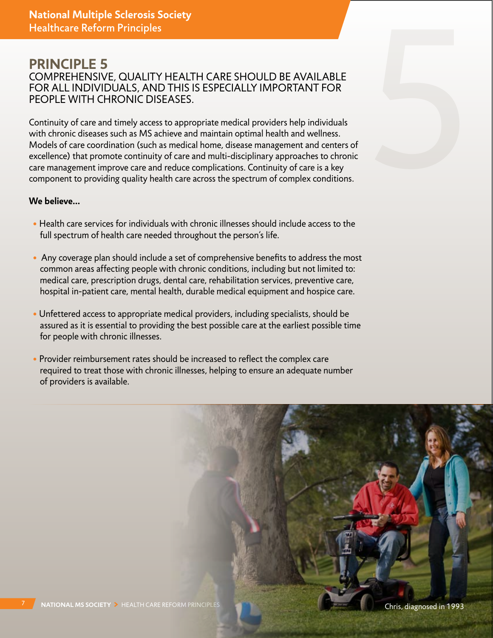## **Principle 5** Comprehensive, quality health care should be available for all individuals, and this is especially important for people with chronic diseases.

Continuity of care and timely access to appropriate medical providers help individuals with chronic diseases such as MS achieve and maintain optimal health and wellness. Models of care coordination (such as medical home, disease management and centers of excellence) that promote continuity of care and multi-disciplinary approaches to chronic care management improve care and reduce complications. Continuity of care is a key component to providing quality health care across the spectrum of complex conditions.

- Health care services for individuals with chronic illnesses should include access to the full spectrum of health care needed throughout the person's life.
- Any coverage plan should include a set of comprehensive benefits to address the most common areas affecting people with chronic conditions, including but not limited to: medical care, prescription drugs, dental care, rehabilitation services, preventive care, hospital in-patient care, mental health, durable medical equipment and hospice care.
- Unfettered access to appropriate medical providers, including specialists, should be assured as it is essential to providing the best possible care at the earliest possible time for people with chronic illnesses.
- Provider reimbursement rates should be increased to reflect the complex care required to treat those with chronic illnesses, helping to ensure an adequate number of providers is available.

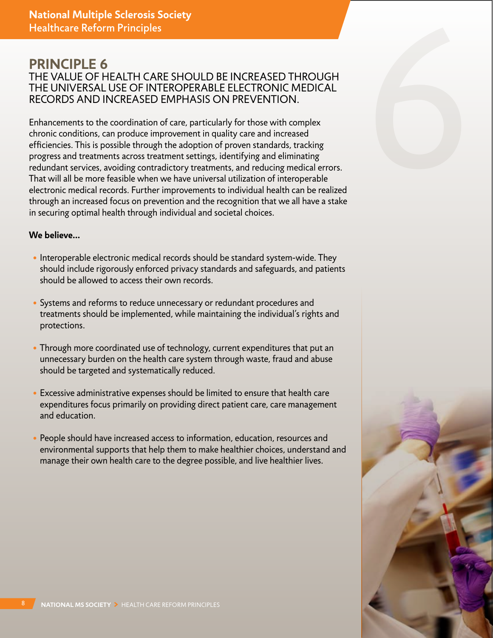## **Principle 6** The value of health care should be increased through the universal use of interoperable electronic medical records and increased emphasis on prevention.

Enhancements to the coordination of care, particularly for those with complex chronic conditions, can produce improvement in quality care and increased efficiencies. This is possible through the adoption of proven standards, tracking progress and treatments across treatment settings, identifying and eliminating redundant services, avoiding contradictory treatments, and reducing medical errors. That will all be more feasible when we have universal utilization of interoperable electronic medical records. Further improvements to individual health can be realized through an increased focus on prevention and the recognition that we all have a stake in securing optimal health through individual and societal choices.

- Interoperable electronic medical records should be standard system-wide. They should include rigorously enforced privacy standards and safeguards, and patients should be allowed to access their own records.
- Systems and reforms to reduce unnecessary or redundant procedures and treatments should be implemented, while maintaining the individual's rights and protections.
- Through more coordinated use of technology, current expenditures that put an unnecessary burden on the health care system through waste, fraud and abuse should be targeted and systematically reduced.
- Excessive administrative expenses should be limited to ensure that health care expenditures focus primarily on providing direct patient care, care management and education.
- People should have increased access to information, education, resources and environmental supports that help them to make healthier choices, understand and manage their own health care to the degree possible, and live healthier lives.



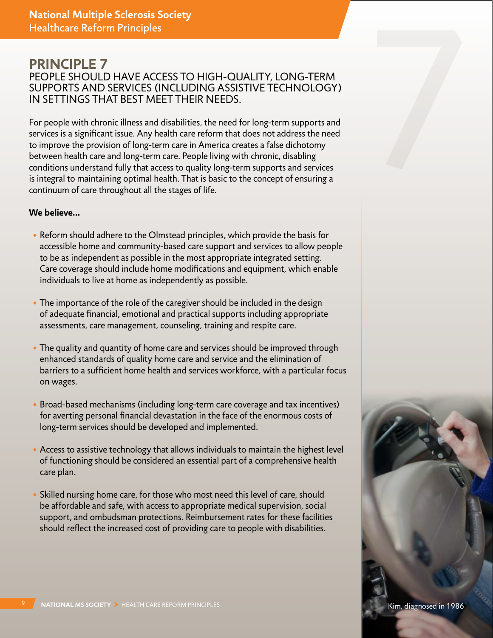### **Principle 7** PEOPLE SHOULD HAVE ACCESS TO HIGH-QUALITY, LONG-TERM supports and services (including assistive technology) in settings that best meet their needs.

For people with chronic illness and disabilities, the need for long-term supports and services is a significant issue. Any health care reform that does not address the need to improve the provision of long-term care in America creates a false dichotomy between health care and long-term care. People living with chronic, disabling conditions understand fully that access to quality long-term supports and services is integral to maintaining optimal health. That is basic to the concept of ensuring a continuum of care throughout all the stages of life.

- Reform should adhere to the Olmstead principles, which provide the basis for accessible home and community-based care support and services to allow people to be as independent as possible in the most appropriate integrated setting. Care coverage should include home modifications and equipment, which enable individuals to live at home as independently as possible.
- The importance of the role of the caregiver should be included in the design of adequate financial, emotional and practical supports including appropriate assessments, care management, counseling, training and respite care.
- The quality and quantity of home care and services should be improved through enhanced standards of quality home care and service and the elimination of barriers to a sufficient home health and services workforce, with a particular focus on wages.
- Broad-based mechanisms (including long-term care coverage and tax incentives) for averting personal financial devastation in the face of the enormous costs of long-term services should be developed and implemented.
- Access to assistive technology that allows individuals to maintain the highest level of functioning should be considered an essential part of a comprehensive health care plan.
- Skilled nursing home care, for those who most need this level of care, should be affordable and safe, with access to appropriate medical supervision, social support, and ombudsman protections. Reimbursement rates for these facilities should reflect the increased cost of providing care to people with disabilities.